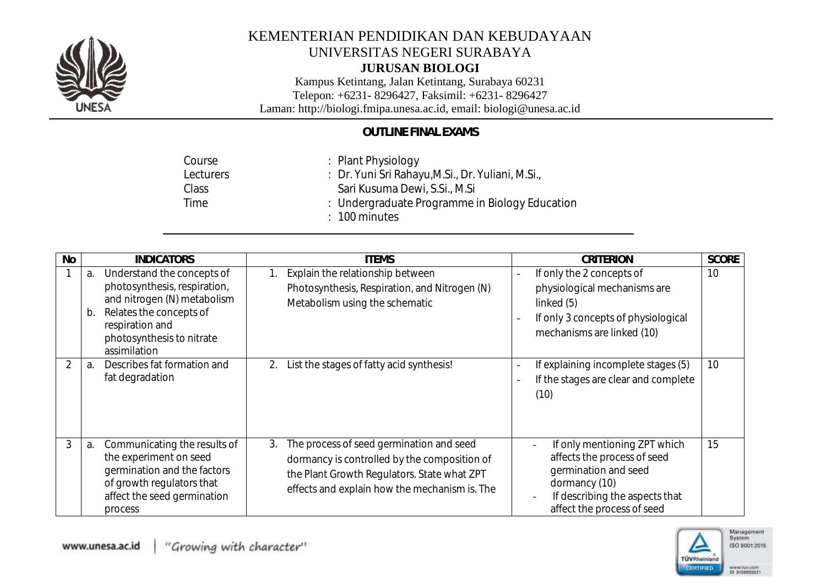

### **JURUSAN BIOLOGI**

Kampus Ketintang, Jalan Ketintang, Surabaya 60231 Telepon: +6231- 8296427, Faksimil: +6231- 8296427 Laman: http://biologi.fmipa.unesa.ac.id, email: [biologi@unesa.ac.id](mailto:biologi@unesa.ac.id)

## *OUTLINE FINAL EXAMS*

| Course    | : Plant Physiology                                |
|-----------|---------------------------------------------------|
| Lecturers | : Dr. Yuni Sri Rahayu, M.Si., Dr. Yuliani, M.Si., |
| Class     | Sari Kusuma Dewi, S.Si., M.Si                     |
| Time      | : Undergraduate Programme in Biology Education    |
|           | $\therefore$ 100 minutes                          |

| No | <i><b>INDICATORS</b></i>                                                                                                                                                                         | <b>ITEMS</b>                                                                                                                                                                                   | <b>CRITERION</b>                                                                                                                                                           | <b>SCORE</b> |
|----|--------------------------------------------------------------------------------------------------------------------------------------------------------------------------------------------------|------------------------------------------------------------------------------------------------------------------------------------------------------------------------------------------------|----------------------------------------------------------------------------------------------------------------------------------------------------------------------------|--------------|
|    | Understand the concepts of<br>а.<br>photosynthesis, respiration,<br>and nitrogen (N) metabolism<br>Relates the concepts of<br>b.<br>respiration and<br>photosynthesis to nitrate<br>assimilation | Explain the relationship between<br>1.<br>Photosynthesis, Respiration, and Nitrogen (N)<br>Metabolism using the schematic                                                                      | If only the 2 concepts of<br>$\overline{\phantom{0}}$<br>physiological mechanisms are<br>linked $(5)$<br>If only 3 concepts of physiological<br>mechanisms are linked (10) | 10           |
|    | Describes fat formation and<br>a.<br>fat degradation                                                                                                                                             | List the stages of fatty acid synthesis!<br>2.                                                                                                                                                 | If explaining incomplete stages (5)<br>If the stages are clear and complete<br>(10)                                                                                        | 10           |
| 3  | Communicating the results of<br>a.<br>the experiment on seed<br>germination and the factors<br>of growth regulators that<br>affect the seed germination<br>process                               | The process of seed germination and seed<br>3.<br>dormancy is controlled by the composition of<br>the Plant Growth Regulators. State what ZPT<br>effects and explain how the mechanism is. The | If only mentioning ZPT which<br>affects the process of seed<br>germination and seed<br>dormancy (10)<br>If describing the aspects that<br>affect the process of seed       | 15           |

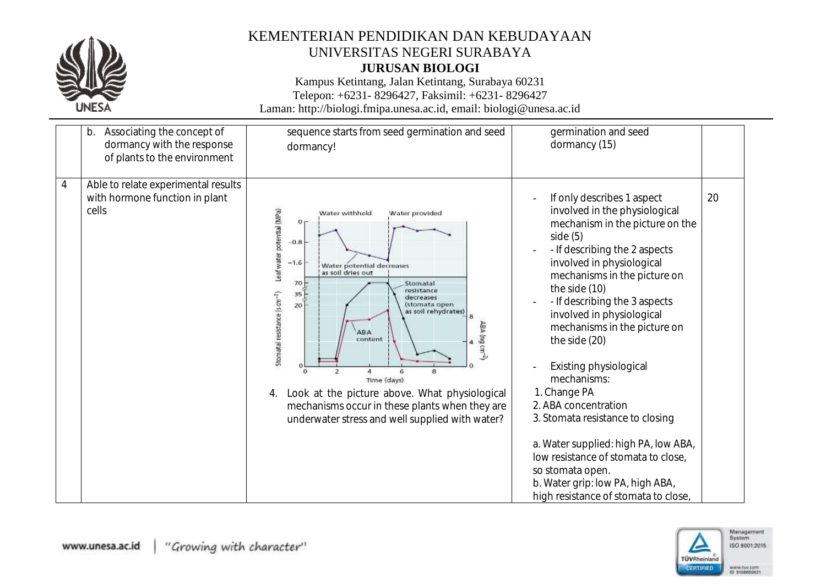

### **JURUSAN BIOLOGI**

Kampus Ketintang, Jalan Ketintang, Surabaya 60231 Telepon: +6231- 8296427, Faksimil: +6231- 8296427

| Associating the concept of<br>b.<br>dormancy with the response<br>of plants to the environment   | sequence starts from seed germination and seed<br>dormancy!                                                                                                                                                                                                                                                                                                                                                                                                                                                                                                                     | germination and seed<br>dormancy (15)                                                                                                                                                                                                                                                                                                                                                                                                                                                                                                                                                                                                       |    |
|--------------------------------------------------------------------------------------------------|---------------------------------------------------------------------------------------------------------------------------------------------------------------------------------------------------------------------------------------------------------------------------------------------------------------------------------------------------------------------------------------------------------------------------------------------------------------------------------------------------------------------------------------------------------------------------------|---------------------------------------------------------------------------------------------------------------------------------------------------------------------------------------------------------------------------------------------------------------------------------------------------------------------------------------------------------------------------------------------------------------------------------------------------------------------------------------------------------------------------------------------------------------------------------------------------------------------------------------------|----|
| Able to relate experimental results<br>$\overline{4}$<br>with hormone function in plant<br>cells | Leaf water potential (MPa)<br>Water withhold<br>Water provided<br>0 <sub>1</sub><br>0.8<br>$-1.6$<br>Water potential decreases<br>as soil dries out<br>$70-$<br>Stomatal<br>resistance<br>Stomatal resistance (s cm <sup>-1</sup> )<br>35 <sup>2</sup><br>decreases<br>20<br>(stomata open<br>as soil rehydrates)<br>ABA<br><b>ABA</b><br>$mu$ g cm $-$<br>content<br>$\mathbf{a}$<br>$\overline{2}$<br>Time (days)<br>Look at the picture above. What physiological<br>4.<br>mechanisms occur in these plants when they are<br>underwater stress and well supplied with water? | If only describes 1 aspect<br>involved in the physiological<br>mechanism in the picture on the<br>side(5)<br>- If describing the 2 aspects<br>involved in physiological<br>mechanisms in the picture on<br>the side (10)<br>- If describing the 3 aspects<br>involved in physiological<br>mechanisms in the picture on<br>the side (20)<br>Existing physiological<br>mechanisms:<br>1. Change PA<br>2. ABA concentration<br>3. Stomata resistance to closing<br>a. Water supplied: high PA, low ABA,<br>low resistance of stomata to close,<br>so stomata open.<br>b. Water grip: low PA, high ABA,<br>high resistance of stomata to close, | 20 |

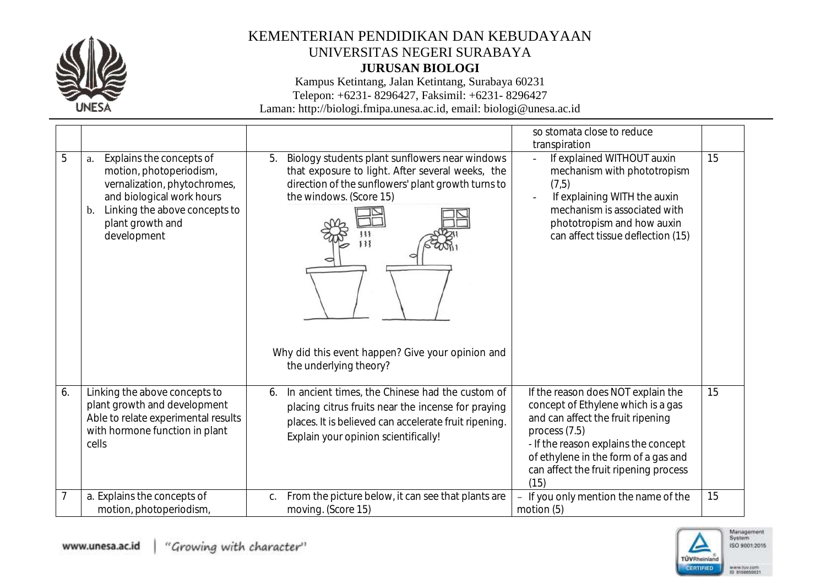

**JURUSAN BIOLOGI**

Kampus Ketintang, Jalan Ketintang, Surabaya 60231

Telepon: +6231- 8296427, Faksimil: +6231- 8296427

|    |                                                                                                                                                                                                  |                                                                                                                                                                                                                                                                         | so stomata close to reduce<br>transpiration                                                                                                                                                                                                                       |    |
|----|--------------------------------------------------------------------------------------------------------------------------------------------------------------------------------------------------|-------------------------------------------------------------------------------------------------------------------------------------------------------------------------------------------------------------------------------------------------------------------------|-------------------------------------------------------------------------------------------------------------------------------------------------------------------------------------------------------------------------------------------------------------------|----|
| 5  | Explains the concepts of<br>a.<br>motion, photoperiodism,<br>vernalization, phytochromes,<br>and biological work hours<br>Linking the above concepts to<br>b.<br>plant growth and<br>development | Biology students plant sunflowers near windows<br>5.<br>that exposure to light. After several weeks, the<br>direction of the sunflowers' plant growth turns to<br>the windows. (Score 15)<br>Why did this event happen? Give your opinion and<br>the underlying theory? | If explained WITHOUT auxin<br>$\mathbf{r}$<br>mechanism with phototropism<br>(7,5)<br>If explaining WITH the auxin<br>mechanism is associated with<br>phototropism and how auxin<br>can affect tissue deflection (15)                                             | 15 |
| 6. | Linking the above concepts to<br>plant growth and development<br>Able to relate experimental results<br>with hormone function in plant<br>cells                                                  | In ancient times, the Chinese had the custom of<br>6.<br>placing citrus fruits near the incense for praying<br>places. It is believed can accelerate fruit ripening.<br>Explain your opinion scientifically!                                                            | If the reason does NOT explain the<br>concept of Ethylene which is a gas<br>and can affect the fruit ripening<br>process $(7.5)$<br>- If the reason explains the concept<br>of ethylene in the form of a gas and<br>can affect the fruit ripening process<br>(15) | 15 |
|    | a. Explains the concepts of<br>motion, photoperiodism,                                                                                                                                           | From the picture below, it can see that plants are<br>C.<br>moving. (Score 15)                                                                                                                                                                                          | If you only mention the name of the<br>motion $(5)$                                                                                                                                                                                                               | 15 |

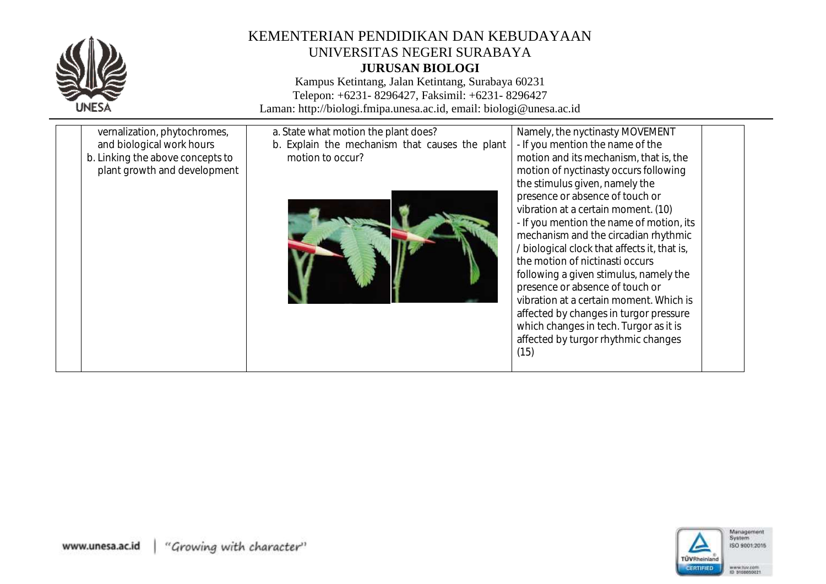

## KEMENTERIAN PENDIDIKAN DAN KEBUDAYAAN UNIVERSITAS NEGERI SURABAYA **JURUSAN BIOLOGI**

Kampus Ketintang, Jalan Ketintang, Surabaya 60231 Telepon: +6231- 8296427, Faksimil: +6231- 8296427 Laman: http://biologi.fmipa.unesa.ac.id, email: [biologi@unesa.ac.id](mailto:biologi@unesa.ac.id)

| vernalization, phytochromes,<br>and biological work hours        | a. State what motion the plant does?<br>b. Explain the mechanism that causes the plant | Namely, the nyctinasty MOVEMENT<br>- If you mention the name of the                                                                                                                                                                                                                                                                                                                                                                                                                              |
|------------------------------------------------------------------|----------------------------------------------------------------------------------------|--------------------------------------------------------------------------------------------------------------------------------------------------------------------------------------------------------------------------------------------------------------------------------------------------------------------------------------------------------------------------------------------------------------------------------------------------------------------------------------------------|
| b. Linking the above concepts to<br>plant growth and development | motion to occur?                                                                       | motion and its mechanism, that is, the<br>motion of nyctinasty occurs following<br>the stimulus given, namely the                                                                                                                                                                                                                                                                                                                                                                                |
|                                                                  |                                                                                        | presence or absence of touch or<br>vibration at a certain moment. (10)<br>- If you mention the name of motion, its<br>mechanism and the circadian rhythmic<br>/ biological clock that affects it, that is,<br>the motion of nictinasti occurs<br>following a given stimulus, namely the<br>presence or absence of touch or<br>vibration at a certain moment. Which is<br>affected by changes in turgor pressure<br>which changes in tech. Turgor as it is<br>affected by turgor rhythmic changes |
|                                                                  |                                                                                        | (15)                                                                                                                                                                                                                                                                                                                                                                                                                                                                                             |

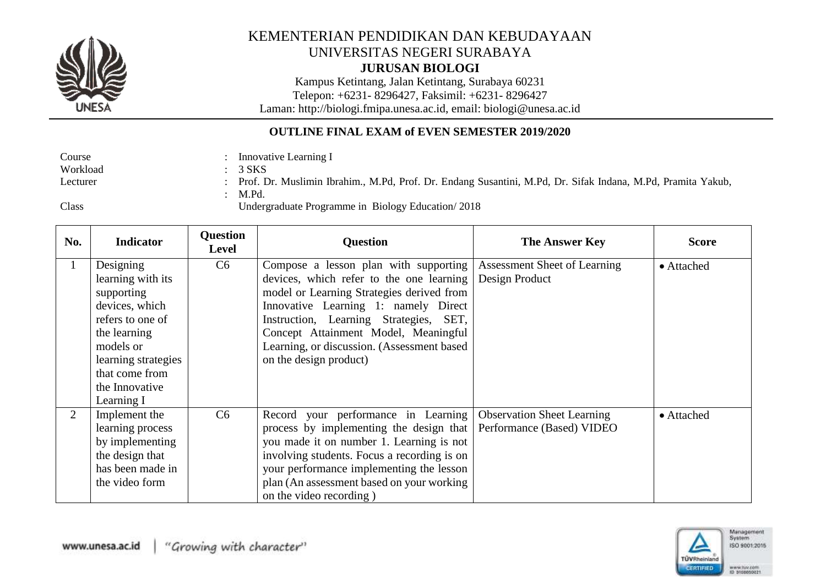

### **JURUSAN BIOLOGI**

Kampus Ketintang, Jalan Ketintang, Surabaya 60231

Telepon: +6231- 8296427, Faksimil: +6231- 8296427

Laman: http://biologi.fmipa.unesa.ac.id, email: [biologi@unesa.ac.id](mailto:biologi@unesa.ac.id)

### **OUTLINE FINAL EXAM of EVEN SEMESTER 2019/2020**

| Course        | Innovative Learning I                                                                                                                          |
|---------------|------------------------------------------------------------------------------------------------------------------------------------------------|
| Workload      | $3$ SKS                                                                                                                                        |
| Lecturer      | Prof. Dr. Muslimin Ibrahim., M.Pd, Prof. Dr. Endang Susantini, M.Pd, Dr. Sifak Indana, M.Pd, Pramita Yakub,                                    |
|               | M.Pd.                                                                                                                                          |
| $\sim$ $\sim$ | $\overline{L}_{\alpha}$ denous ducts. Due success in $\overline{D}_{\alpha}$ leave $\overline{L}_{\alpha}$ duce $\overline{L}_{\alpha}$ (2010) |

Class

Undergraduate Programme in Biology Education/ 2018

| No. | <b>Indicator</b>                                                                                                                                                                         | Question<br><b>Level</b> | <b>Question</b>                                                                                                                                                                                                                                                                                                                  | <b>The Answer Key</b>                                          | <b>Score</b> |
|-----|------------------------------------------------------------------------------------------------------------------------------------------------------------------------------------------|--------------------------|----------------------------------------------------------------------------------------------------------------------------------------------------------------------------------------------------------------------------------------------------------------------------------------------------------------------------------|----------------------------------------------------------------|--------------|
|     | Designing<br>learning with its<br>supporting<br>devices, which<br>refers to one of<br>the learning<br>models or<br>learning strategies<br>that come from<br>the Innovative<br>Learning I | C6                       | Compose a lesson plan with supporting<br>devices, which refer to the one learning<br>model or Learning Strategies derived from<br>Innovative Learning 1: namely Direct<br>Instruction, Learning Strategies, SET,<br>Concept Attainment Model, Meaningful<br>Learning, or discussion. (Assessment based<br>on the design product) | Assessment Sheet of Learning<br>Design Product                 | • Attached   |
| 2   | Implement the<br>learning process<br>by implementing<br>the design that<br>has been made in<br>the video form                                                                            | C6                       | Record your performance in Learning<br>process by implementing the design that<br>you made it on number 1. Learning is not<br>involving students. Focus a recording is on<br>your performance implementing the lesson<br>plan (An assessment based on your working)<br>on the video recording)                                   | <b>Observation Sheet Learning</b><br>Performance (Based) VIDEO | • Attached   |

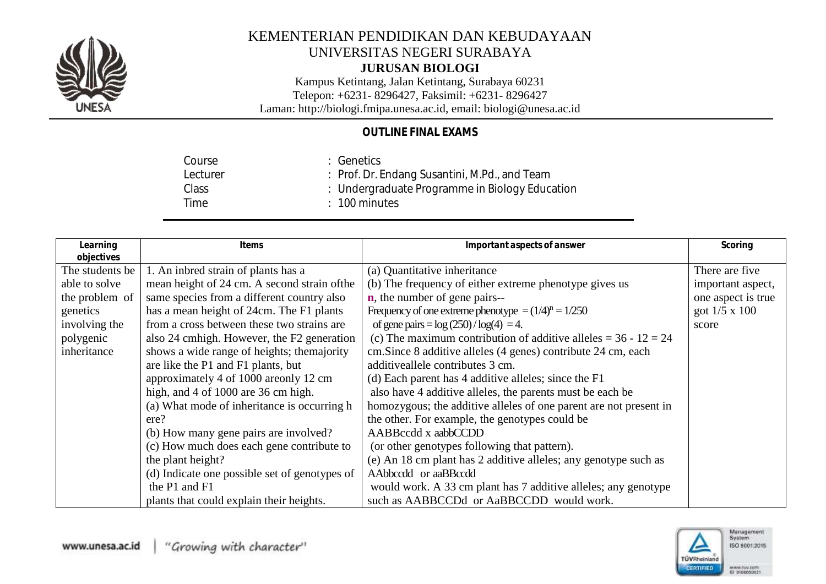

#### **JURUSAN BIOLOGI**

Kampus Ketintang, Jalan Ketintang, Surabaya 60231 Telepon: +6231- 8296427, Faksimil: +6231- 8296427

Laman: http://biologi.fmipa.unesa.ac.id, email: [biologi@unesa.ac.id](mailto:biologi@unesa.ac.id)

## *OUTLINE FINAL EXAMS*

Course Lecturer Class Time : Genetics : Prof. Dr. Endang Susantini, M.Pd., and Team : Undergraduate Programme in Biology Education : 100 minutes

| Learning<br>objectives | <i>Items</i>                                  | Important aspects of answer                                       | Scoring              |
|------------------------|-----------------------------------------------|-------------------------------------------------------------------|----------------------|
| The students be        | 1. An inbred strain of plants has a           | (a) Quantitative inheritance                                      | There are five       |
| able to solve          | mean height of 24 cm. A second strain of the  | (b) The frequency of either extreme phenotype gives us            | important aspect,    |
| the problem of         | same species from a different country also    | <b>n</b> , the number of gene pairs--                             | one aspect is true   |
| genetics               | has a mean height of 24cm. The F1 plants      | Frequency of one extreme phenotype $=(1/4)^n = 1/250$             | got $1/5 \times 100$ |
| involving the          | from a cross between these two strains are    | of gene pairs = $log(250)/log(4) = 4$ .                           | score                |
| polygenic              | also 24 cmhigh. However, the F2 generation    | (c) The maximum contribution of additive alleles = $36 - 12 = 24$ |                      |
| inheritance            | shows a wide range of heights; the majority   | cm. Since 8 additive alleles (4 genes) contribute 24 cm, each     |                      |
|                        | are like the P1 and F1 plants, but            | additiveallele contributes 3 cm.                                  |                      |
|                        | approximately 4 of 1000 are only 12 cm        | (d) Each parent has 4 additive alleles; since the F1              |                      |
|                        | high, and 4 of 1000 are 36 cm high.           | also have 4 additive alleles, the parents must be each be         |                      |
|                        | (a) What mode of inheritance is occurring h   | homozygous; the additive alleles of one parent are not present in |                      |
|                        | ere?                                          | the other. For example, the genotypes could be                    |                      |
|                        | (b) How many gene pairs are involved?         | AABBccdd x aabbCCDD                                               |                      |
|                        | (c) How much does each gene contribute to     | (or other genotypes following that pattern).                      |                      |
|                        | the plant height?                             | (e) An 18 cm plant has 2 additive alleles; any genotype such as   |                      |
|                        | (d) Indicate one possible set of genotypes of | AAbbccdd or aaBBccdd                                              |                      |
|                        | the P1 and F1                                 | would work. A 33 cm plant has 7 additive alleles; any genotype    |                      |
|                        | plants that could explain their heights.      | such as AABBCCDd or AaBBCCDD would work.                          |                      |

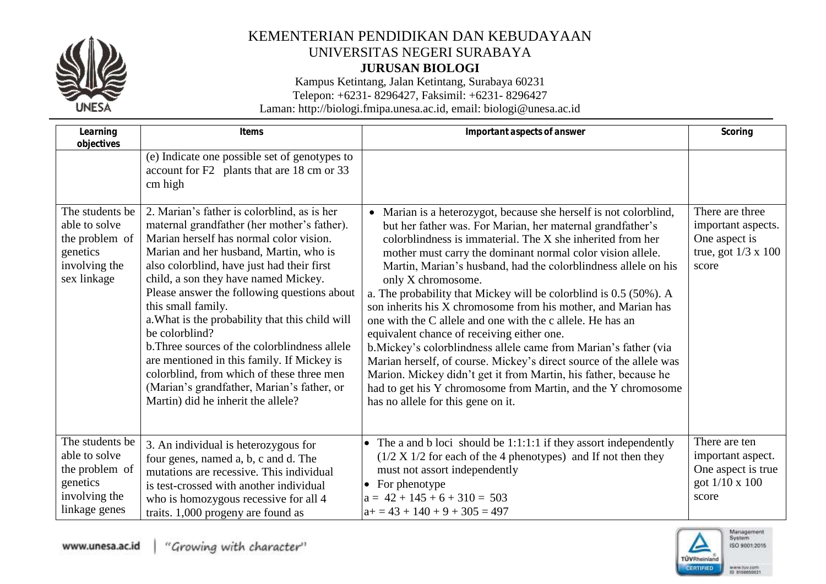

**JURUSAN BIOLOGI**

Kampus Ketintang, Jalan Ketintang, Surabaya 60231

Telepon: +6231- 8296427, Faksimil: +6231- 8296427

| Learning<br>objectives                                                                           | Items                                                                                                                                                                                                                                                                                                                                                                                                                                                                                                                                                                                                                                           | Important aspects of answer                                                                                                                                                                                                                                                                                                                                                                                                                                                                                                                                                                                                                                                                                                                                                                                                                                                                                                 | Scoring                                                                                       |
|--------------------------------------------------------------------------------------------------|-------------------------------------------------------------------------------------------------------------------------------------------------------------------------------------------------------------------------------------------------------------------------------------------------------------------------------------------------------------------------------------------------------------------------------------------------------------------------------------------------------------------------------------------------------------------------------------------------------------------------------------------------|-----------------------------------------------------------------------------------------------------------------------------------------------------------------------------------------------------------------------------------------------------------------------------------------------------------------------------------------------------------------------------------------------------------------------------------------------------------------------------------------------------------------------------------------------------------------------------------------------------------------------------------------------------------------------------------------------------------------------------------------------------------------------------------------------------------------------------------------------------------------------------------------------------------------------------|-----------------------------------------------------------------------------------------------|
|                                                                                                  | (e) Indicate one possible set of genotypes to<br>account for F2 plants that are 18 cm or 33<br>cm high                                                                                                                                                                                                                                                                                                                                                                                                                                                                                                                                          |                                                                                                                                                                                                                                                                                                                                                                                                                                                                                                                                                                                                                                                                                                                                                                                                                                                                                                                             |                                                                                               |
| The students be<br>able to solve<br>the problem of<br>genetics<br>involving the<br>sex linkage   | 2. Marian's father is colorblind, as is her<br>maternal grandfather (her mother's father).<br>Marian herself has normal color vision.<br>Marian and her husband, Martin, who is<br>also colorblind, have just had their first<br>child, a son they have named Mickey.<br>Please answer the following questions about<br>this small family.<br>a. What is the probability that this child will<br>be colorblind?<br>b. Three sources of the colorblindness allele<br>are mentioned in this family. If Mickey is<br>colorblind, from which of these three men<br>(Marian's grandfather, Marian's father, or<br>Martin) did he inherit the allele? | • Marian is a heterozygot, because she herself is not colorblind,<br>but her father was. For Marian, her maternal grandfather's<br>colorblindness is immaterial. The X she inherited from her<br>mother must carry the dominant normal color vision allele.<br>Martin, Marian's husband, had the colorblindness allele on his<br>only X chromosome.<br>a. The probability that Mickey will be colorblind is 0.5 (50%). A<br>son inherits his X chromosome from his mother, and Marian has<br>one with the C allele and one with the c allele. He has an<br>equivalent chance of receiving either one.<br>b. Mickey's colorblindness allele came from Marian's father (via<br>Marian herself, of course. Mickey's direct source of the allele was<br>Marion. Mickey didn't get it from Martin, his father, because he<br>had to get his Y chromosome from Martin, and the Y chromosome<br>has no allele for this gene on it. | There are three<br>important aspects.<br>One aspect is<br>true, got $1/3 \times 100$<br>score |
| The students be<br>able to solve<br>the problem of<br>genetics<br>involving the<br>linkage genes | 3. An individual is heterozygous for<br>four genes, named a, b, c and d. The<br>mutations are recessive. This individual<br>is test-crossed with another individual<br>who is homozygous recessive for all 4<br>traits. 1,000 progeny are found as                                                                                                                                                                                                                                                                                                                                                                                              | • The a and b loci should be $1:1:1:1$ if they assort independently<br>$(1/2 X 1/2$ for each of the 4 phenotypes) and If not then they<br>must not assort independently<br>• For phenotype<br>$a = 42 + 145 + 6 + 310 = 503$<br>$a+=43+140+9+305=497$                                                                                                                                                                                                                                                                                                                                                                                                                                                                                                                                                                                                                                                                       | There are ten<br>important aspect.<br>One aspect is true<br>got 1/10 x 100<br>score           |

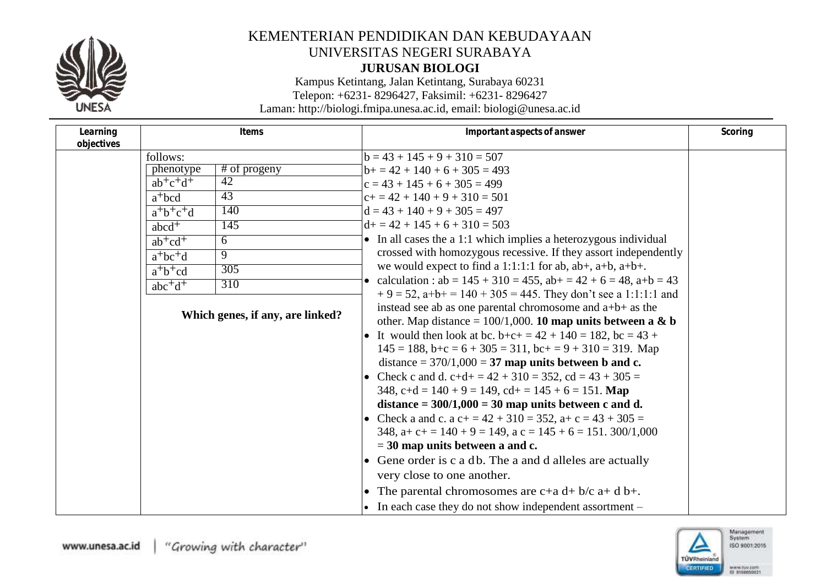

**JURUSAN BIOLOGI**

Kampus Ketintang, Jalan Ketintang, Surabaya 60231 Telepon: +6231- 8296427, Faksimil: +6231- 8296427

|              | Items                                                           | Important aspects of answer                                                                                                                                                                                                                                                                                                                                                                                                                                                                                                                                                                                                                                                                                                                                                                                                                      | Scoring                                                                                                                                                                                                                                                                   |
|--------------|-----------------------------------------------------------------|--------------------------------------------------------------------------------------------------------------------------------------------------------------------------------------------------------------------------------------------------------------------------------------------------------------------------------------------------------------------------------------------------------------------------------------------------------------------------------------------------------------------------------------------------------------------------------------------------------------------------------------------------------------------------------------------------------------------------------------------------------------------------------------------------------------------------------------------------|---------------------------------------------------------------------------------------------------------------------------------------------------------------------------------------------------------------------------------------------------------------------------|
|              |                                                                 |                                                                                                                                                                                                                                                                                                                                                                                                                                                                                                                                                                                                                                                                                                                                                                                                                                                  |                                                                                                                                                                                                                                                                           |
|              |                                                                 |                                                                                                                                                                                                                                                                                                                                                                                                                                                                                                                                                                                                                                                                                                                                                                                                                                                  |                                                                                                                                                                                                                                                                           |
| $ab^+c^+d^+$ | 42                                                              | $c = 43 + 145 + 6 + 305 = 499$                                                                                                                                                                                                                                                                                                                                                                                                                                                                                                                                                                                                                                                                                                                                                                                                                   |                                                                                                                                                                                                                                                                           |
| $a^{+}$ bcd  | 43                                                              | $c+= 42 + 140 + 9 + 310 = 501$                                                                                                                                                                                                                                                                                                                                                                                                                                                                                                                                                                                                                                                                                                                                                                                                                   |                                                                                                                                                                                                                                                                           |
| $a^+b^+c^+d$ | 140                                                             | $d = 43 + 140 + 9 + 305 = 497$                                                                                                                                                                                                                                                                                                                                                                                                                                                                                                                                                                                                                                                                                                                                                                                                                   |                                                                                                                                                                                                                                                                           |
| $abcd^+$     | $\overline{145}$                                                | $d+ = 42 + 145 + 6 + 310 = 503$                                                                                                                                                                                                                                                                                                                                                                                                                                                                                                                                                                                                                                                                                                                                                                                                                  |                                                                                                                                                                                                                                                                           |
| $ab + cd +$  | 6                                                               | • In all cases the a 1:1 which implies a heterozygous individual                                                                                                                                                                                                                                                                                                                                                                                                                                                                                                                                                                                                                                                                                                                                                                                 |                                                                                                                                                                                                                                                                           |
|              | 9                                                               | crossed with homozygous recessive. If they assort independently                                                                                                                                                                                                                                                                                                                                                                                                                                                                                                                                                                                                                                                                                                                                                                                  |                                                                                                                                                                                                                                                                           |
|              | 305                                                             |                                                                                                                                                                                                                                                                                                                                                                                                                                                                                                                                                                                                                                                                                                                                                                                                                                                  |                                                                                                                                                                                                                                                                           |
|              | 310                                                             | • calculation : $ab = 145 + 310 = 455$ , $ab + = 42 + 6 = 48$ , $a+b = 43$                                                                                                                                                                                                                                                                                                                                                                                                                                                                                                                                                                                                                                                                                                                                                                       |                                                                                                                                                                                                                                                                           |
|              |                                                                 | instead see ab as one parental chromosome and a+b+ as the<br>other. Map distance = $100/1,000$ . 10 map units between a & b<br>• It would then look at bc. b+c+ = $42 + 140 = 182$ , bc = $43 +$<br>$145 = 188$ , $b+c = 6 + 305 = 311$ , $bc+c = 9 + 310 = 319$ . Map<br>distance = $370/1,000 = 37$ map units between b and c.<br>• Check c and d. c+d+ = $42 + 310 = 352$ , cd = $43 + 305 =$<br>348, c+d = $140 + 9 = 149$ , cd+ = $145 + 6 = 151$ . Map<br>distance = $300/1,000 = 30$ map units between c and d.<br>• Check a and c. a c+ = $42 + 310 = 352$ , a+ c = $43 + 305 =$<br>348, $a+c+ = 140 + 9 = 149$ , $a c = 145 + 6 = 151$ . 300/1,000<br>$=$ 30 map units between a and c.<br>• Gene order is c a db. The a and d alleles are actually<br>very close to one another.<br>• The parental chromosomes are $c+a d+b/c a+d b+.$ |                                                                                                                                                                                                                                                                           |
|              | follows:<br>phenotype<br>$a^+bc^+d$<br>$a^+b^+cd$<br>$abc^+d^+$ | $\overline{\#}$ of progeny<br>Which genes, if any, are linked?                                                                                                                                                                                                                                                                                                                                                                                                                                                                                                                                                                                                                                                                                                                                                                                   | $b = 43 + 145 + 9 + 310 = 507$<br>$b+ = 42 + 140 + 6 + 305 = 493$<br>we would expect to find a 1:1:1:1 for ab, $ab+$ , $a+b$ , $a+b+$ .<br>$+9 = 52$ , a+b+ = 140 + 305 = 445. They don't see a 1:1:1:1 and<br>• In each case they do not show independent assortment $-$ |

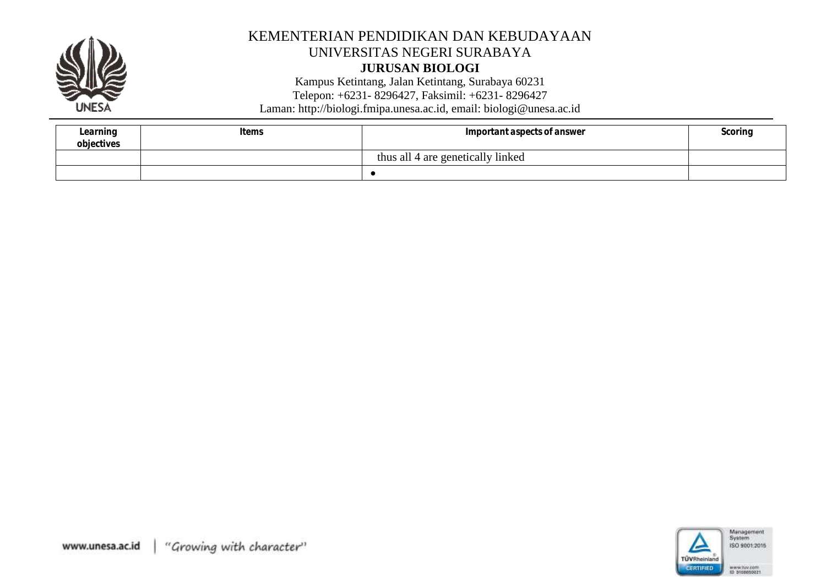

#### **JURUSAN BIOLOGI**

Kampus Ketintang, Jalan Ketintang, Surabaya 60231

Telepon: +6231 - 8296427, Faksimil: +6231 - 8296427

| Learning<br>objectives | Items | Important aspects of answer       | Scorinc |
|------------------------|-------|-----------------------------------|---------|
|                        |       | thus all 4 are genetically linked |         |
|                        |       |                                   |         |

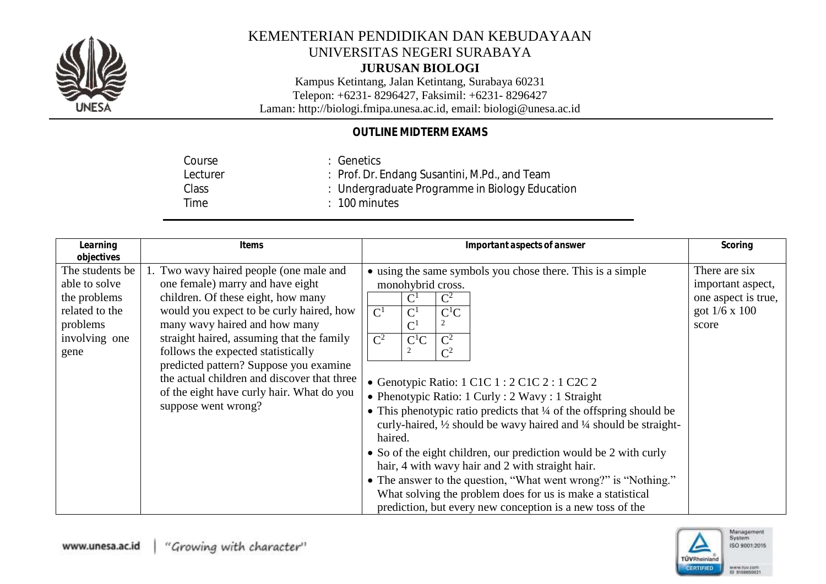

### **JURUSAN BIOLOGI**

Kampus Ketintang, Jalan Ketintang, Surabaya 60231 Telepon: +6231- 8296427, Faksimil: +6231- 8296427

Laman: http://biologi.fmipa.unesa.ac.id, email: [biologi@unesa.ac.id](mailto:biologi@unesa.ac.id)

## *OUTLINE MIDTERM EXAMS*

| : Undergraduate Programme in Biology Education |  |
|------------------------------------------------|--|
|                                                |  |
|                                                |  |

| Learning<br>objectives                                                                                  | Items                                                                                                                                                                                                                                                                                                                                                                                                                                          | Important aspects of answer                                                                                                                                                                                                                                                                                                                                                                                                                                                                                                                                                                                                                                                                                                                                                                                                                                 | Scoring                                                                                    |
|---------------------------------------------------------------------------------------------------------|------------------------------------------------------------------------------------------------------------------------------------------------------------------------------------------------------------------------------------------------------------------------------------------------------------------------------------------------------------------------------------------------------------------------------------------------|-------------------------------------------------------------------------------------------------------------------------------------------------------------------------------------------------------------------------------------------------------------------------------------------------------------------------------------------------------------------------------------------------------------------------------------------------------------------------------------------------------------------------------------------------------------------------------------------------------------------------------------------------------------------------------------------------------------------------------------------------------------------------------------------------------------------------------------------------------------|--------------------------------------------------------------------------------------------|
| The students be<br>able to solve<br>the problems<br>related to the<br>problems<br>involving one<br>gene | 1. Two wavy haired people (one male and<br>one female) marry and have eight<br>children. Of these eight, how many<br>would you expect to be curly haired, how<br>many wavy haired and how many<br>straight haired, assuming that the family<br>follows the expected statistically<br>predicted pattern? Suppose you examine<br>the actual children and discover that three<br>of the eight have curly hair. What do you<br>suppose went wrong? | • using the same symbols you chose there. This is a simple<br>monohybrid cross.<br>$\mathrm{C}^1$<br>$\mathbf{C}^2$<br>$\mathbf{C}^1$<br>$\mathrm{C}^1$<br>$C^1C$<br>C <sup>1</sup><br>$\mathbf{C}^2$<br>$\mathbf{C}^2$<br>$C^1C$<br>$\overline{c}$<br>$\mathrm{C}^2$<br>• Genotypic Ratio: 1 C1C 1 : 2 C1C 2 : 1 C2C 2<br>• Phenotypic Ratio: 1 Curly : 2 Wavy : 1 Straight<br>• This phenotypic ratio predicts that 1/4 of the offspring should be<br>curly-haired, 1/2 should be wavy haired and 1/4 should be straight-<br>haired.<br>• So of the eight children, our prediction would be 2 with curly<br>hair, 4 with wavy hair and 2 with straight hair.<br>• The answer to the question, "What went wrong?" is "Nothing."<br>What solving the problem does for us is make a statistical<br>prediction, but every new conception is a new toss of the | There are six<br>important aspect,<br>one aspect is true,<br>got $1/6 \times 100$<br>score |

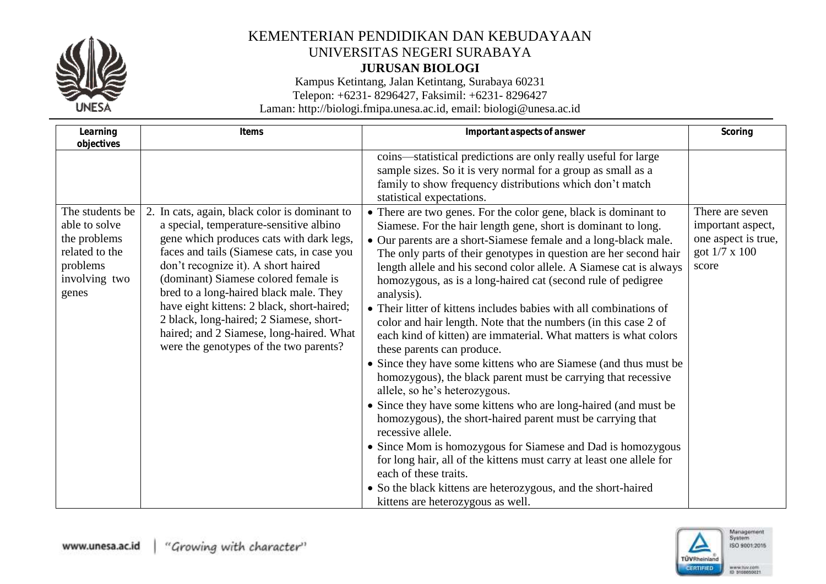

**JURUSAN BIOLOGI**

Kampus Ketintang, Jalan Ketintang, Surabaya 60231

Telepon: +6231- 8296427, Faksimil: +6231- 8296427

| Learning                                                                                                               | Items                                                                                                                                                                                                                                                                                                                                                                                                                                                                                      | Important aspects of answer                                                                                                                                                                                                                                                                                                                                                                                                                                                                                                                                                                                                                                                                                                                                                                                                                                                                        | Scoring                                                                               |
|------------------------------------------------------------------------------------------------------------------------|--------------------------------------------------------------------------------------------------------------------------------------------------------------------------------------------------------------------------------------------------------------------------------------------------------------------------------------------------------------------------------------------------------------------------------------------------------------------------------------------|----------------------------------------------------------------------------------------------------------------------------------------------------------------------------------------------------------------------------------------------------------------------------------------------------------------------------------------------------------------------------------------------------------------------------------------------------------------------------------------------------------------------------------------------------------------------------------------------------------------------------------------------------------------------------------------------------------------------------------------------------------------------------------------------------------------------------------------------------------------------------------------------------|---------------------------------------------------------------------------------------|
| objectives<br>The students be<br>able to solve<br>the problems<br>related to the<br>problems<br>involving two<br>genes | 2. In cats, again, black color is dominant to<br>a special, temperature-sensitive albino<br>gene which produces cats with dark legs,<br>faces and tails (Siamese cats, in case you<br>don't recognize it). A short haired<br>(dominant) Siamese colored female is<br>bred to a long-haired black male. They<br>have eight kittens: 2 black, short-haired;<br>2 black, long-haired; 2 Siamese, short-<br>haired; and 2 Siamese, long-haired. What<br>were the genotypes of the two parents? | coins—statistical predictions are only really useful for large<br>sample sizes. So it is very normal for a group as small as a<br>family to show frequency distributions which don't match<br>statistical expectations.<br>• There are two genes. For the color gene, black is dominant to<br>Siamese. For the hair length gene, short is dominant to long.<br>• Our parents are a short-Siamese female and a long-black male.<br>The only parts of their genotypes in question are her second hair<br>length allele and his second color allele. A Siamese cat is always<br>homozygous, as is a long-haired cat (second rule of pedigree<br>analysis).<br>• Their litter of kittens includes babies with all combinations of<br>color and hair length. Note that the numbers (in this case 2 of<br>each kind of kitten) are immaterial. What matters is what colors<br>these parents can produce. | There are seven<br>important aspect,<br>one aspect is true,<br>got 1/7 x 100<br>score |
|                                                                                                                        |                                                                                                                                                                                                                                                                                                                                                                                                                                                                                            | • Since they have some kittens who are Siamese (and thus must be<br>homozygous), the black parent must be carrying that recessive<br>allele, so he's heterozygous.                                                                                                                                                                                                                                                                                                                                                                                                                                                                                                                                                                                                                                                                                                                                 |                                                                                       |
|                                                                                                                        |                                                                                                                                                                                                                                                                                                                                                                                                                                                                                            | • Since they have some kittens who are long-haired (and must be<br>homozygous), the short-haired parent must be carrying that<br>recessive allele.                                                                                                                                                                                                                                                                                                                                                                                                                                                                                                                                                                                                                                                                                                                                                 |                                                                                       |
|                                                                                                                        |                                                                                                                                                                                                                                                                                                                                                                                                                                                                                            | • Since Mom is homozygous for Siamese and Dad is homozygous<br>for long hair, all of the kittens must carry at least one allele for<br>each of these traits.                                                                                                                                                                                                                                                                                                                                                                                                                                                                                                                                                                                                                                                                                                                                       |                                                                                       |
|                                                                                                                        |                                                                                                                                                                                                                                                                                                                                                                                                                                                                                            | • So the black kittens are heterozygous, and the short-haired<br>kittens are heterozygous as well.                                                                                                                                                                                                                                                                                                                                                                                                                                                                                                                                                                                                                                                                                                                                                                                                 |                                                                                       |

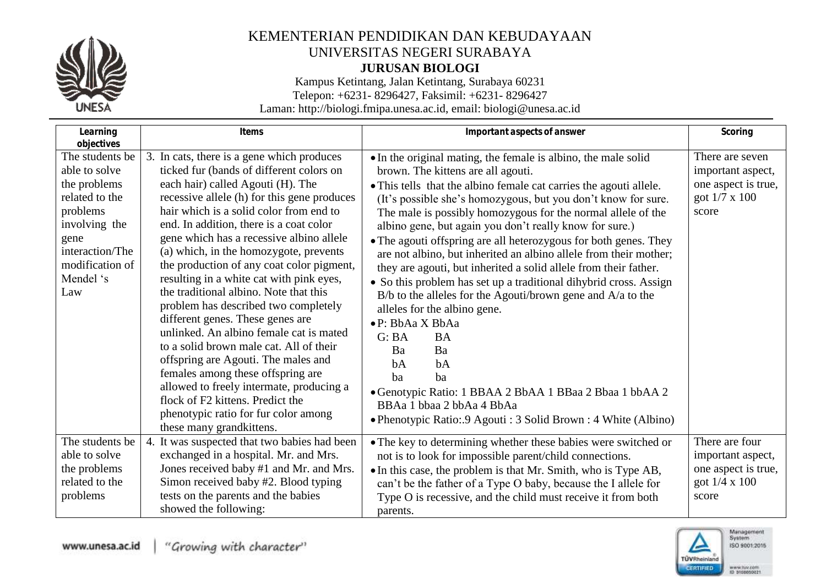

## KEMENTERIAN PENDIDIKAN DAN KEBUDAYAAN UNIVERSITAS NEGERI SURABAYA **JURUSAN BIOLOGI**

Kampus Ketintang, Jalan Ketintang, Surabaya 60231

Telepon: +6231- 8296427, Faksimil: +6231- 8296427

| Learning                                                                                                                                                                        | Items                                                                                                                                                                                                                                                                                                                                                                                                                                                                                                                                                                                                                                                                                                                                                                                                                                                                                       | Important aspects of answer                                                                                                                                                                                                                                                                                                                                                                                                                                                                                                                                                                                                                                                                                                                                                                                                                                                                                                                                                                        | Scoring                                                                                      |
|---------------------------------------------------------------------------------------------------------------------------------------------------------------------------------|---------------------------------------------------------------------------------------------------------------------------------------------------------------------------------------------------------------------------------------------------------------------------------------------------------------------------------------------------------------------------------------------------------------------------------------------------------------------------------------------------------------------------------------------------------------------------------------------------------------------------------------------------------------------------------------------------------------------------------------------------------------------------------------------------------------------------------------------------------------------------------------------|----------------------------------------------------------------------------------------------------------------------------------------------------------------------------------------------------------------------------------------------------------------------------------------------------------------------------------------------------------------------------------------------------------------------------------------------------------------------------------------------------------------------------------------------------------------------------------------------------------------------------------------------------------------------------------------------------------------------------------------------------------------------------------------------------------------------------------------------------------------------------------------------------------------------------------------------------------------------------------------------------|----------------------------------------------------------------------------------------------|
| objectives<br>The students be<br>able to solve<br>the problems<br>related to the<br>problems<br>involving the<br>gene<br>interaction/The<br>modification of<br>Mendel 's<br>Law | 3. In cats, there is a gene which produces<br>ticked fur (bands of different colors on<br>each hair) called Agouti (H). The<br>recessive allele (h) for this gene produces<br>hair which is a solid color from end to<br>end. In addition, there is a coat color<br>gene which has a recessive albino allele<br>(a) which, in the homozygote, prevents<br>the production of any coat color pigment,<br>resulting in a white cat with pink eyes,<br>the traditional albino. Note that this<br>problem has described two completely<br>different genes. These genes are<br>unlinked. An albino female cat is mated<br>to a solid brown male cat. All of their<br>offspring are Agouti. The males and<br>females among these offspring are<br>allowed to freely intermate, producing a<br>flock of F2 kittens. Predict the<br>phenotypic ratio for fur color among<br>these many grandkittens. | • In the original mating, the female is albino, the male solid<br>brown. The kittens are all agouti.<br>• This tells that the albino female cat carries the agouti allele.<br>(It's possible she's homozygous, but you don't know for sure.<br>The male is possibly homozygous for the normal allele of the<br>albino gene, but again you don't really know for sure.)<br>• The agouti offspring are all heterozygous for both genes. They<br>are not albino, but inherited an albino allele from their mother;<br>they are agouti, but inherited a solid allele from their father.<br>• So this problem has set up a traditional dihybrid cross. Assign<br>$B/b$ to the alleles for the Agouti/brown gene and $A/a$ to the<br>alleles for the albino gene.<br>·P: BbAa X BbAa<br>G:BA<br><b>BA</b><br>Ba<br>Ba<br>bA<br>bA<br>ba<br>ba<br>• Genotypic Ratio: 1 BBAA 2 BbAA 1 BBaa 2 Bbaa 1 bbAA 2<br>BBAa 1 bbaa 2 bbAa 4 BbAa<br>• Phenotypic Ratio: 9 Agouti : 3 Solid Brown : 4 White (Albino) | There are seven<br>important aspect,<br>one aspect is true,<br>got $1/7 \times 100$<br>score |
| The students be<br>able to solve<br>the problems<br>related to the<br>problems                                                                                                  | 4. It was suspected that two babies had been<br>exchanged in a hospital. Mr. and Mrs.<br>Jones received baby #1 and Mr. and Mrs.<br>Simon received baby #2. Blood typing<br>tests on the parents and the babies<br>showed the following:                                                                                                                                                                                                                                                                                                                                                                                                                                                                                                                                                                                                                                                    | • The key to determining whether these babies were switched or<br>not is to look for impossible parent/child connections.<br>• In this case, the problem is that Mr. Smith, who is Type AB,<br>can't be the father of a Type O baby, because the I allele for<br>Type O is recessive, and the child must receive it from both<br>parents.                                                                                                                                                                                                                                                                                                                                                                                                                                                                                                                                                                                                                                                          | There are four<br>important aspect,<br>one aspect is true,<br>got $1/4 \times 100$<br>score  |